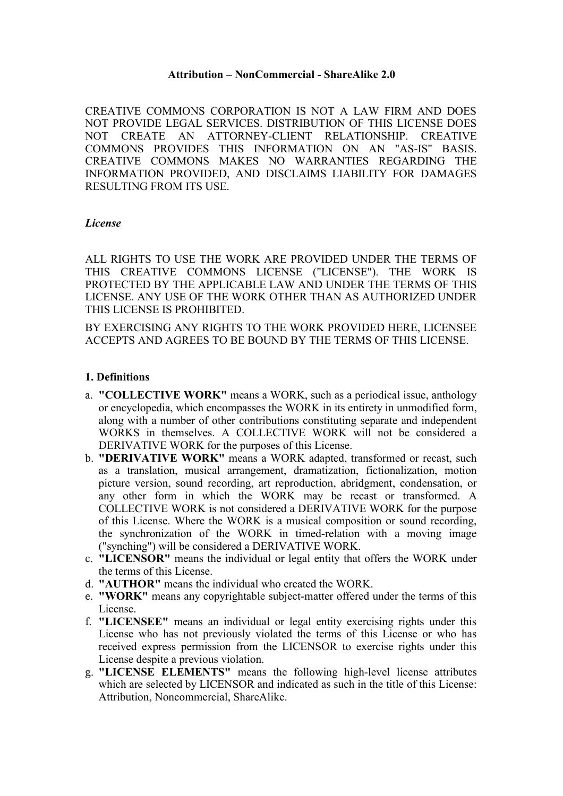#### **Attribution – NonCommercial - ShareAlike 2.0**

CREATIVE COMMONS CORPORATION IS NOT A LAW FIRM AND DOES NOT PROVIDE LEGAL SERVICES. DISTRIBUTION OF THIS LICENSE DOES NOT CREATE AN ATTORNEY-CLIENT RELATIONSHIP. CREATIVE COMMONS PROVIDES THIS INFORMATION ON AN "AS-IS" BASIS. CREATIVE COMMONS MAKES NO WARRANTIES REGARDING THE INFORMATION PROVIDED, AND DISCLAIMS LIABILITY FOR DAMAGES RESULTING FROM ITS USE.

#### *License*

ALL RIGHTS TO USE THE WORK ARE PROVIDED UNDER THE TERMS OF THIS CREATIVE COMMONS LICENSE ("LICENSE"). THE WORK IS PROTECTED BY THE APPLICABLE LAW AND UNDER THE TERMS OF THIS LICENSE. ANY USE OF THE WORK OTHER THAN AS AUTHORIZED UNDER THIS LICENSE IS PROHIBITED.

BY EXERCISING ANY RIGHTS TO THE WORK PROVIDED HERE, LICENSEE ACCEPTS AND AGREES TO BE BOUND BY THE TERMS OF THIS LICENSE.

#### **1. Definitions**

- a. **"COLLECTIVE WORK"** means a WORK, such as a periodical issue, anthology or encyclopedia, which encompasses the WORK in its entirety in unmodified form, along with a number of other contributions constituting separate and independent WORKS in themselves. A COLLECTIVE WORK will not be considered a DERIVATIVE WORK for the purposes of this License.
- b. **"DERIVATIVE WORK"** means a WORK adapted, transformed or recast, such as a translation, musical arrangement, dramatization, fictionalization, motion picture version, sound recording, art reproduction, abridgment, condensation, or any other form in which the WORK may be recast or transformed. A COLLECTIVE WORK is not considered a DERIVATIVE WORK for the purpose of this License. Where the WORK is a musical composition or sound recording, the synchronization of the WORK in timed-relation with a moving image ("synching") will be considered a DERIVATIVE WORK.
- c. **"LICENSOR"** means the individual or legal entity that offers the WORK under the terms of this License.
- d. **"AUTHOR"** means the individual who created the WORK.
- e. **"WORK"** means any copyrightable subject-matter offered under the terms of this License.
- f. **"LICENSEE"** means an individual or legal entity exercising rights under this License who has not previously violated the terms of this License or who has received express permission from the LICENSOR to exercise rights under this License despite a previous violation.
- g. **"LICENSE ELEMENTS"** means the following high-level license attributes which are selected by LICENSOR and indicated as such in the title of this License: Attribution, Noncommercial, ShareAlike.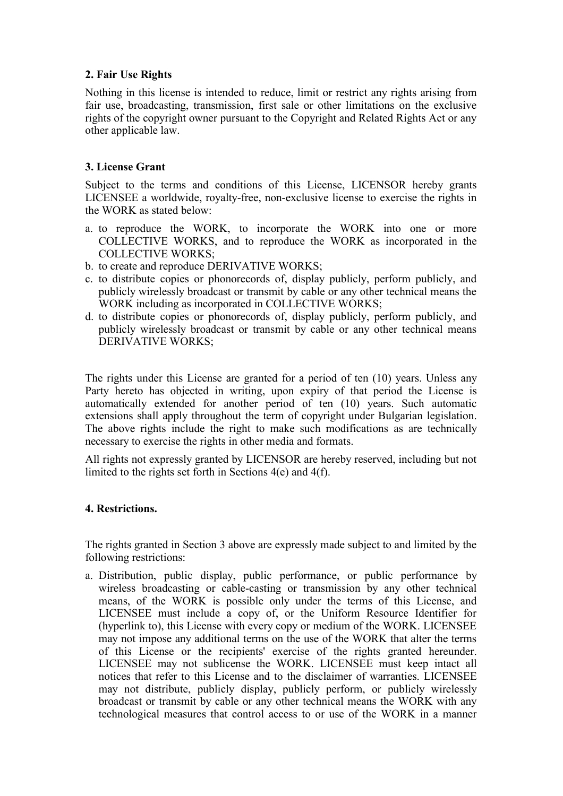## **2. Fair Use Rights**

Nothing in this license is intended to reduce, limit or restrict any rights arising from fair use, broadcasting, transmission, first sale or other limitations on the exclusive rights of the copyright owner pursuant to the Copyright and Related Rights Act or any other applicable law.

# **3. License Grant**

Subject to the terms and conditions of this License, LICENSOR hereby grants LICENSEE a worldwide, royalty-free, non-exclusive license to exercise the rights in the WORK as stated below:

- a. to reproduce the WORK, to incorporate the WORK into one or more COLLECTIVE WORKS, and to reproduce the WORK as incorporated in the COLLECTIVE WORKS;
- b. to create and reproduce DERIVATIVE WORKS;
- c. to distribute copies or phonorecords of, display publicly, perform publicly, and publicly wirelessly broadcast or transmit by cable or any other technical means the WORK including as incorporated in COLLECTIVE WORKS;
- d. to distribute copies or phonorecords of, display publicly, perform publicly, and publicly wirelessly broadcast or transmit by cable or any other technical means DERIVATIVE WORKS;

The rights under this License are granted for a period of ten (10) years. Unless any Party hereto has objected in writing, upon expiry of that period the License is automatically extended for another period of ten (10) years. Such automatic extensions shall apply throughout the term of copyright under Bulgarian legislation. The above rights include the right to make such modifications as are technically necessary to exercise the rights in other media and formats.

All rights not expressly granted by LICENSOR are hereby reserved, including but not limited to the rights set forth in Sections 4(e) and 4(f).

### **4. Restrictions.**

The rights granted in Section 3 above are expressly made subject to and limited by the following restrictions:

a. Distribution, public display, public performance, or public performance by wireless broadcasting or cable-casting or transmission by any other technical means, of the WORK is possible only under the terms of this License, and LICENSEE must include a copy of, or the Uniform Resource Identifier for (hyperlink to), this License with every copy or medium of the WORK. LICENSEE may not impose any additional terms on the use of the WORK that alter the terms of this License or the recipients' exercise of the rights granted hereunder. LICENSEE may not sublicense the WORK. LICENSEE must keep intact all notices that refer to this License and to the disclaimer of warranties. LICENSEE may not distribute, publicly display, publicly perform, or publicly wirelessly broadcast or transmit by cable or any other technical means the WORK with any technological measures that control access to or use of the WORK in a manner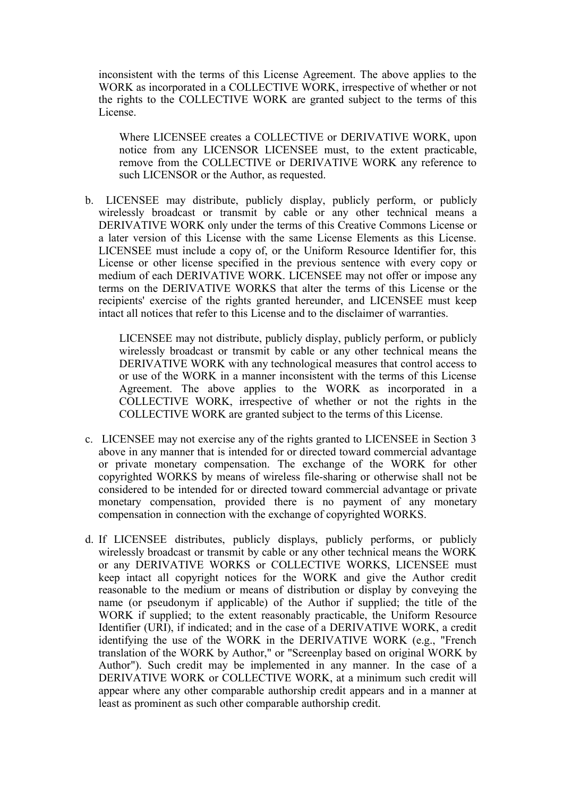inconsistent with the terms of this License Agreement. The above applies to the WORK as incorporated in a COLLECTIVE WORK, irrespective of whether or not the rights to the COLLECTIVE WORK are granted subject to the terms of this License.

Where LICENSEE creates a COLLECTIVE or DERIVATIVE WORK, upon notice from any LICENSOR LICENSEE must, to the extent practicable, remove from the COLLECTIVE or DERIVATIVE WORK any reference to such LICENSOR or the Author, as requested.

b. LICENSEE may distribute, publicly display, publicly perform, or publicly wirelessly broadcast or transmit by cable or any other technical means a DERIVATIVE WORK only under the terms of this Creative Commons License or a later version of this License with the same License Elements as this License. LICENSEE must include a copy of, or the Uniform Resource Identifier for, this License or other license specified in the previous sentence with every copy or medium of each DERIVATIVE WORK. LICENSEE may not offer or impose any terms on the DERIVATIVE WORKS that alter the terms of this License or the recipients' exercise of the rights granted hereunder, and LICENSEE must keep intact all notices that refer to this License and to the disclaimer of warranties.

LICENSEE may not distribute, publicly display, publicly perform, or publicly wirelessly broadcast or transmit by cable or any other technical means the DERIVATIVE WORK with any technological measures that control access to or use of the WORK in a manner inconsistent with the terms of this License Agreement. The above applies to the WORK as incorporated in a COLLECTIVE WORK, irrespective of whether or not the rights in the COLLECTIVE WORK are granted subject to the terms of this License.

- c. LICENSEE may not exercise any of the rights granted to LICENSEE in Section 3 above in any manner that is intended for or directed toward commercial advantage or private monetary compensation. The exchange of the WORK for other copyrighted WORKS by means of wireless file-sharing or otherwise shall not be considered to be intended for or directed toward commercial advantage or private monetary compensation, provided there is no payment of any monetary compensation in connection with the exchange of copyrighted WORKS.
- d. If LICENSEE distributes, publicly displays, publicly performs, or publicly wirelessly broadcast or transmit by cable or any other technical means the WORK or any DERIVATIVE WORKS or COLLECTIVE WORKS, LICENSEE must keep intact all copyright notices for the WORK and give the Author credit reasonable to the medium or means of distribution or display by conveying the name (or pseudonym if applicable) of the Author if supplied; the title of the WORK if supplied; to the extent reasonably practicable, the Uniform Resource Identifier (URI), if indicated; and in the case of a DERIVATIVE WORK, a credit identifying the use of the WORK in the DERIVATIVE WORK (e.g., "French translation of the WORK by Author," or "Screenplay based on original WORK by Author"). Such credit may be implemented in any manner. In the case of a DERIVATIVE WORK or COLLECTIVE WORK, at a minimum such credit will appear where any other comparable authorship credit appears and in a manner at least as prominent as such other comparable authorship credit.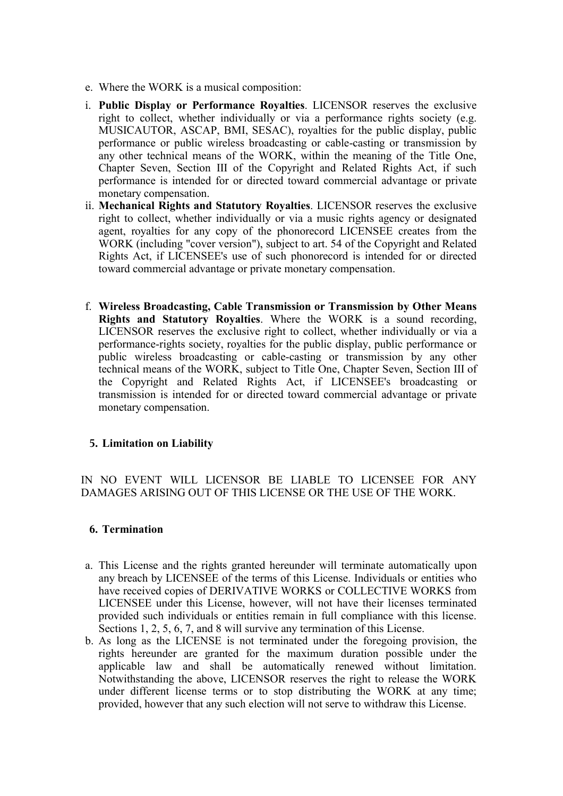- e. Where the WORK is a musical composition:
- i. **Public Display or Performance Royalties**. LICENSOR reserves the exclusive right to collect, whether individually or via a performance rights society (e.g. MUSICAUTOR, ASCAP, BMI, SESAC), royalties for the public display, public performance or public wireless broadcasting or cable-casting or transmission by any other technical means of the WORK, within the meaning of the Title One, Chapter Seven, Section III of the Copyright and Related Rights Act, if such performance is intended for or directed toward commercial advantage or private monetary compensation.
- ii. **Mechanical Rights and Statutory Royalties**. LICENSOR reserves the exclusive right to collect, whether individually or via a music rights agency or designated agent, royalties for any copy of the phonorecord LICENSEE creates from the WORK (including "cover version"), subject to art. 54 of the Copyright and Related Rights Act, if LICENSEE's use of such phonorecord is intended for or directed toward commercial advantage or private monetary compensation.
- f. **Wireless Broadcasting, Cable Transmission or Transmission by Other Means Rights and Statutory Royalties**. Where the WORK is a sound recording, LICENSOR reserves the exclusive right to collect, whether individually or via a performance-rights society, royalties for the public display, public performance or public wireless broadcasting or cable-casting or transmission by any other technical means of the WORK, subject to Title One, Chapter Seven, Section III of the Copyright and Related Rights Act, if LICENSEE's broadcasting or transmission is intended for or directed toward commercial advantage or private monetary compensation.

# **5. Limitation on Liability**

IN NO EVENT WILL LICENSOR BE LIABLE TO LICENSEE FOR ANY DAMAGES ARISING OUT OF THIS LICENSE OR THE USE OF THE WORK.

# **6. Termination**

- a. This License and the rights granted hereunder will terminate automatically upon any breach by LICENSEE of the terms of this License. Individuals or entities who have received copies of DERIVATIVE WORKS or COLLECTIVE WORKS from LICENSEE under this License, however, will not have their licenses terminated provided such individuals or entities remain in full compliance with this license. Sections 1, 2, 5, 6, 7, and 8 will survive any termination of this License.
- b. As long as the LICENSE is not terminated under the foregoing provision, the rights hereunder are granted for the maximum duration possible under the applicable law and shall be automatically renewed without limitation. Notwithstanding the above, LICENSOR reserves the right to release the WORK under different license terms or to stop distributing the WORK at any time; provided, however that any such election will not serve to withdraw this License.